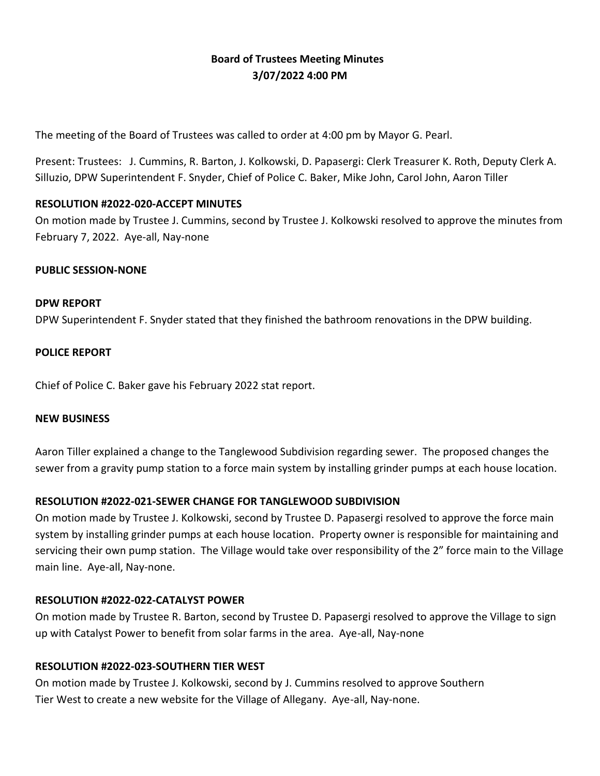## **Board of Trustees Meeting Minutes 3/07/2022 4:00 PM**

The meeting of the Board of Trustees was called to order at 4:00 pm by Mayor G. Pearl.

Present: Trustees: J. Cummins, R. Barton, J. Kolkowski, D. Papasergi: Clerk Treasurer K. Roth, Deputy Clerk A. Silluzio, DPW Superintendent F. Snyder, Chief of Police C. Baker, Mike John, Carol John, Aaron Tiller

## **RESOLUTION #2022-020-ACCEPT MINUTES**

On motion made by Trustee J. Cummins, second by Trustee J. Kolkowski resolved to approve the minutes from February 7, 2022. Aye-all, Nay-none

### **PUBLIC SESSION-NONE**

# **DPW REPORT** DPW Superintendent F. Snyder stated that they finished the bathroom renovations in the DPW building.

#### **POLICE REPORT**

Chief of Police C. Baker gave his February 2022 stat report.

#### **NEW BUSINESS**

Aaron Tiller explained a change to the Tanglewood Subdivision regarding sewer. The proposed changes the sewer from a gravity pump station to a force main system by installing grinder pumps at each house location.

### **RESOLUTION #2022-021-SEWER CHANGE FOR TANGLEWOOD SUBDIVISION**

On motion made by Trustee J. Kolkowski, second by Trustee D. Papasergi resolved to approve the force main system by installing grinder pumps at each house location. Property owner is responsible for maintaining and servicing their own pump station. The Village would take over responsibility of the 2" force main to the Village main line. Aye-all, Nay-none.

### **RESOLUTION #2022-022-CATALYST POWER**

On motion made by Trustee R. Barton, second by Trustee D. Papasergi resolved to approve the Village to sign up with Catalyst Power to benefit from solar farms in the area. Aye-all, Nay-none

### **RESOLUTION #2022-023-SOUTHERN TIER WEST**

On motion made by Trustee J. Kolkowski, second by J. Cummins resolved to approve Southern Tier West to create a new website for the Village of Allegany. Aye-all, Nay-none.